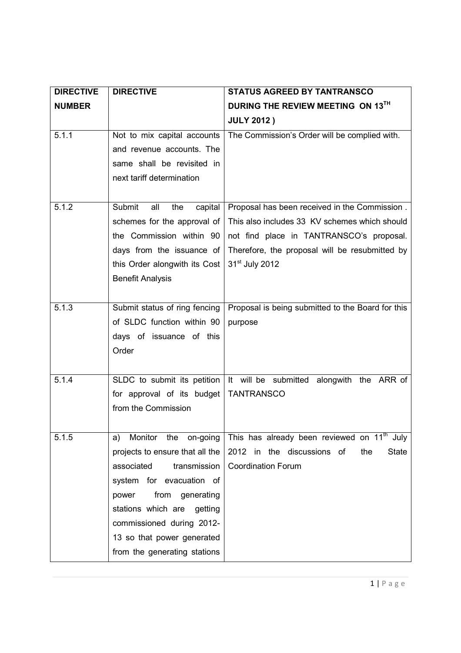| <b>DIRECTIVE</b> | <b>DIRECTIVE</b>                                                                                                                                                                                                                                                                | <b>STATUS AGREED BY TANTRANSCO</b>                                                                                                                                                                                         |
|------------------|---------------------------------------------------------------------------------------------------------------------------------------------------------------------------------------------------------------------------------------------------------------------------------|----------------------------------------------------------------------------------------------------------------------------------------------------------------------------------------------------------------------------|
| <b>NUMBER</b>    |                                                                                                                                                                                                                                                                                 | DURING THE REVIEW MEETING ON 13TH                                                                                                                                                                                          |
|                  |                                                                                                                                                                                                                                                                                 | <b>JULY 2012)</b>                                                                                                                                                                                                          |
| 5.1.1            | Not to mix capital accounts<br>and revenue accounts. The<br>same shall be revisited in<br>next tariff determination                                                                                                                                                             | The Commission's Order will be complied with.                                                                                                                                                                              |
| 5.1.2            | Submit<br>all<br>the<br>capital<br>schemes for the approval of<br>the Commission within 90<br>days from the issuance of<br>this Order alongwith its Cost<br><b>Benefit Analysis</b>                                                                                             | Proposal has been received in the Commission.<br>This also includes 33 KV schemes which should<br>not find place in TANTRANSCO's proposal.<br>Therefore, the proposal will be resubmitted by<br>31 <sup>st</sup> July 2012 |
| 5.1.3            | Submit status of ring fencing<br>of SLDC function within 90<br>days of issuance of this<br>Order                                                                                                                                                                                | Proposal is being submitted to the Board for this<br>purpose                                                                                                                                                               |
| 5.1.4            | SLDC to submit its petition<br>for approval of its budget<br>from the Commission                                                                                                                                                                                                | It will be submitted alongwith the ARR of<br><b>TANTRANSCO</b>                                                                                                                                                             |
| 5.1.5            | Monitor the on-going<br>a)<br>projects to ensure that all the<br>transmission<br>associated<br>system for evacuation of<br>from generating<br>power<br>stations which are<br>getting<br>commissioned during 2012-<br>13 so that power generated<br>from the generating stations | This has already been reviewed on 11 <sup>th</sup> July<br>2012 in the discussions of<br>the<br>State<br><b>Coordination Forum</b>                                                                                         |